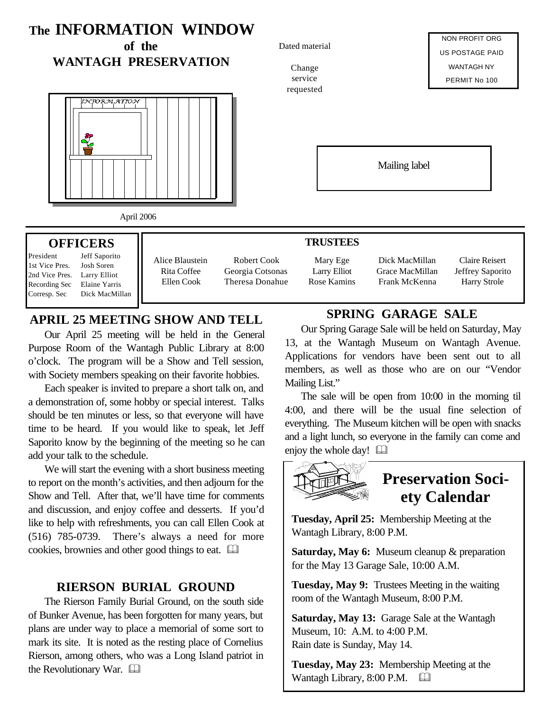

## **APRIL 25 MEETING SHOW AND TELL**

Our April 25 meeting will be held in the General Purpose Room of the Wantagh Public Library at 8:00 o'clock. The program will be a Show and Tell session, with Society members speaking on their favorite hobbies.

Each speaker is invited to prepare a short talk on, and a demonstration of, some hobby or special interest. Talks should be ten minutes or less, so that everyone will have time to be heard. If you would like to speak, let Jeff Saporito know by the beginning of the meeting so he can add your talk to the schedule.

We will start the evening with a short business meeting to report on the month's activities, and then adjourn for the Show and Tell. After that, we'll have time for comments and discussion, and enjoy coffee and desserts. If you'd like to help with refreshments, you can call Ellen Cook at (516) 785-0739. There's always a need for more cookies, brownies and other good things to eat.  $\Box$ 

#### **RIERSON BURIAL GROUND**

The Rierson Family Burial Ground, on the south side of Bunker Avenue, has been forgotten for many years, but plans are under way to place a memorial of some sort to mark its site. It is noted as the resting place of Cornelius Rierson, among others, who was a Long Island patriot in the Revolutionary War.  $\Box$ 

## **SPRING GARAGE SALE**

Our Spring Garage Sale will be held on Saturday, May 13, at the Wantagh Museum on Wantagh Avenue. Applications for vendors have been sent out to all members, as well as those who are on our "Vendor Mailing List."

The sale will be open from 10:00 in the morning til 4:00, and there will be the usual fine selection of everything. The Museum kitchen will be open with snacks and a light lunch, so everyone in the family can come and enjoy the whole day!  $\Box$ 



**Tuesday, April 25:** Membership Meeting at the Wantagh Library, 8:00 P.M.

**Saturday, May 6:** Museum cleanup & preparation for the May 13 Garage Sale, 10:00 A.M.

**Tuesday, May 9:** Trustees Meeting in the waiting room of the Wantagh Museum, 8:00 P.M.

**Saturday, May 13:** Garage Sale at the Wantagh Museum, 10: A.M. to 4:00 P.M. Rain date is Sunday, May 14.

**Tuesday, May 23:** Membership Meeting at the Wantagh Library, 8:00 P.M.  $\Box$